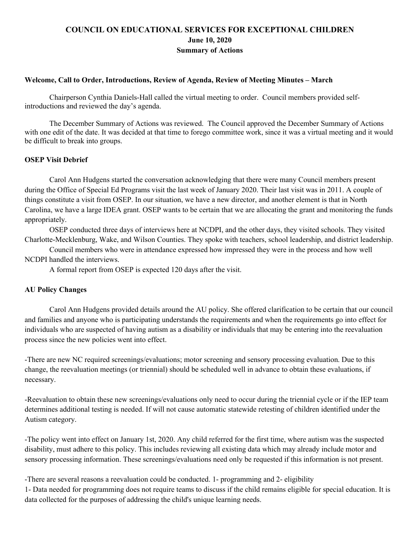# **COUNCIL ON EDUCATIONAL SERVICES FOR EXCEPTIONAL CHILDREN June 10, 2020 Summary of Actions**

#### **Welcome, Call to Order, Introductions, Review of Agenda, Review of Meeting Minutes – March**

Chairperson Cynthia Daniels-Hall called the virtual meeting to order. Council members provided selfintroductions and reviewed the day's agenda.

The December Summary of Actions was reviewed. The Council approved the December Summary of Actions with one edit of the date. It was decided at that time to forego committee work, since it was a virtual meeting and it would be difficult to break into groups.

#### **OSEP Visit Debrief**

Carol Ann Hudgens started the conversation acknowledging that there were many Council members present during the Office of Special Ed Programs visit the last week of January 2020. Their last visit was in 2011. A couple of things constitute a visit from OSEP. In our situation, we have a new director, and another element is that in North Carolina, we have a large IDEA grant. OSEP wants to be certain that we are allocating the grant and monitoring the funds appropriately.

OSEP conducted three days of interviews here at NCDPI, and the other days, they visited schools. They visited Charlotte-Mecklenburg, Wake, and Wilson Counties. They spoke with teachers, school leadership, and district leadership.

Council members who were in attendance expressed how impressed they were in the process and how well NCDPI handled the interviews.

A formal report from OSEP is expected 120 days after the visit.

### **AU Policy Changes**

Carol Ann Hudgens provided details around the AU policy. She offered clarification to be certain that our council and families and anyone who is participating understands the requirements and when the requirements go into effect for individuals who are suspected of having autism as a disability or individuals that may be entering into the reevaluation process since the new policies went into effect.

-There are new NC required screenings/evaluations; motor screening and sensory processing evaluation. Due to this change, the reevaluation meetings (or triennial) should be scheduled well in advance to obtain these evaluations, if necessary.

-Reevaluation to obtain these new screenings/evaluations only need to occur during the triennial cycle or if the IEP team determines additional testing is needed. If will not cause automatic statewide retesting of children identified under the Autism category.

-The policy went into effect on January 1st, 2020. Any child referred for the first time, where autism was the suspected disability, must adhere to this policy. This includes reviewing all existing data which may already include motor and sensory processing information. These screenings/evaluations need only be requested if this information is not present.

-There are several reasons a reevaluation could be conducted. 1- programming and 2- eligibility

1- Data needed for programming does not require teams to discuss if the child remains eligible for special education. It is data collected for the purposes of addressing the child's unique learning needs.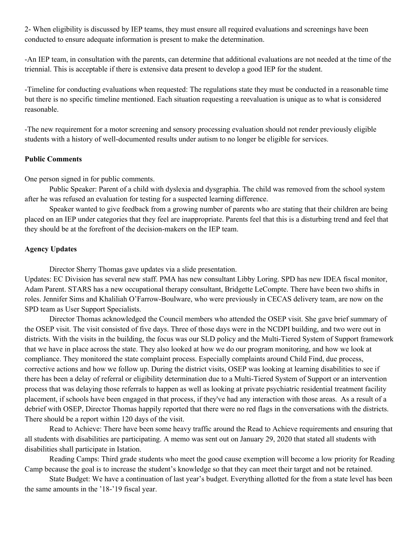2- When eligibility is discussed by IEP teams, they must ensure all required evaluations and screenings have been conducted to ensure adequate information is present to make the determination.

-An IEP team, in consultation with the parents, can determine that additional evaluations are not needed at the time of the triennial. This is acceptable if there is extensive data present to develop a good IEP for the student.

-Timeline for conducting evaluations when requested: The regulations state they must be conducted in a reasonable time but there is no specific timeline mentioned. Each situation requesting a reevaluation is unique as to what is considered reasonable.

-The new requirement for a motor screening and sensory processing evaluation should not render previously eligible students with a history of well-documented results under autism to no longer be eligible for services.

### **Public Comments**

One person signed in for public comments.

Public Speaker: Parent of a child with dyslexia and dysgraphia. The child was removed from the school system after he was refused an evaluation for testing for a suspected learning difference.

Speaker wanted to give feedback from a growing number of parents who are stating that their children are being placed on an IEP under categories that they feel are inappropriate. Parents feel that this is a disturbing trend and feel that they should be at the forefront of the decision-makers on the IEP team.

## **Agency Updates**

Director Sherry Thomas gave updates via a slide presentation.

Updates: EC Division has several new staff. PMA has new consultant Libby Loring. SPD has new IDEA fiscal monitor, Adam Parent. STARS has a new occupational therapy consultant, Bridgette LeCompte. There have been two shifts in roles. Jennifer Sims and Khaliliah O'Farrow-Boulware, who were previously in CECAS delivery team, are now on the SPD team as User Support Specialists.

Director Thomas acknowledged the Council members who attended the OSEP visit. She gave brief summary of the OSEP visit. The visit consisted of five days. Three of those days were in the NCDPI building, and two were out in districts. With the visits in the building, the focus was our SLD policy and the Multi-Tiered System of Support framework that we have in place across the state. They also looked at how we do our program monitoring, and how we look at compliance. They monitored the state complaint process. Especially complaints around Child Find, due process, corrective actions and how we follow up. During the district visits, OSEP was looking at learning disabilities to see if there has been a delay of referral or eligibility determination due to a Multi-Tiered System of Support or an intervention process that was delaying those referrals to happen as well as looking at private psychiatric residential treatment facility placement, if schools have been engaged in that process, if they've had any interaction with those areas. As a result of a debrief with OSEP, Director Thomas happily reported that there were no red flags in the conversations with the districts. There should be a report within 120 days of the visit.

Read to Achieve: There have been some heavy traffic around the Read to Achieve requirements and ensuring that all students with disabilities are participating. A memo was sent out on January 29, 2020 that stated all students with disabilities shall participate in Istation.

Reading Camps: Third grade students who meet the good cause exemption will become a low priority for Reading Camp because the goal is to increase the student's knowledge so that they can meet their target and not be retained.

State Budget: We have a continuation of last year's budget. Everything allotted for the from a state level has been the same amounts in the '18-'19 fiscal year.